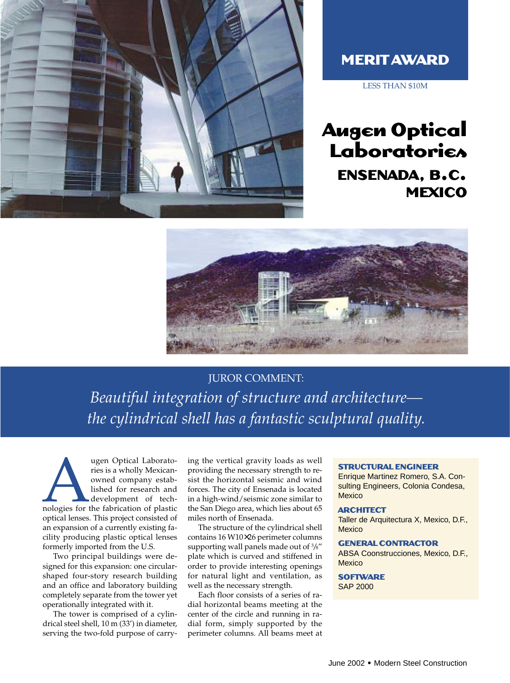

## **MERIT AWARD**

LESS THAN \$10M

# **Augen Optical Laboratories ENSENADA, B.C. MEXICO**



### JUROR COMMENT:

*Beautiful integration of structure and architecture the cylindrical shell has a fantastic sculptural quality.* 

Mugen Optical Laborato-<br>
ries is a wholly Mexican-<br>
owned company estab-<br>
lished for research and<br>
development of tech-<br>
nologies for the fabrication of plastic<br>
ortical lanear. This project consisted of ries is a wholly Mexicanowned company established for research and development of techoptical lenses. This project consisted of an expansion of a currently existing facility producing plastic optical lenses formerly imported from the U.S.

Two principal buildings were designed for this expansion: one circularshaped four-story research building and an office and laboratory building completely separate from the tower yet operationally integrated with it.

The tower is comprised of a cylindrical steel shell, 10 m (33') in diameter, serving the two-fold purpose of carrying the vertical gravity loads as well providing the necessary strength to resist the horizontal seismic and wind forces. The city of Ensenada is located in a high-wind/seismic zone similar to the San Diego area, which lies about 65 miles north of Ensenada.

The structure of the cylindrical shell contains 16 W10×26 perimeter columns supporting wall panels made out of 3 /8" plate which is curved and stiffened in order to provide interesting openings for natural light and ventilation, as well as the necessary strength.

Each floor consists of a series of radial horizontal beams meeting at the center of the circle and running in radial form, simply supported by the perimeter columns. All beams meet at

#### **STRUCTURAL ENGINEER**

Enrique Martinez Romero, S.A. Consulting Engineers, Colonia Condesa, **Mexico** 

#### **ARCHITECT**

Taller de Arquitectura X, Mexico, D.F., **Mexico** 

#### **GENERAL CONTRACTOR**

ABSA Coonstrucciones, Mexico, D.F., **Mexico** 

**SOFTWARE** SAP 2000